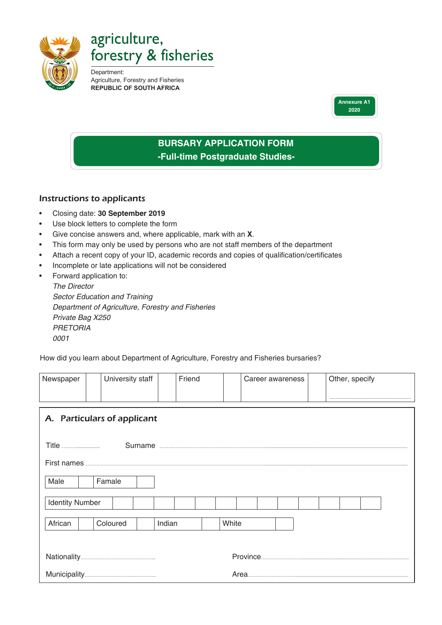

agriculture, forestry & fisheries

Department: Agriculture, Forestry and Fisheries **REPUBLIC OF SOUTH AFRICA**



## **BURSARY APPLICATION FORM -Full-time Postgraduate Studies-**

## Instructions to applicants

- Closing date: **30 September 2019**
- Use block letters to complete the form
- Give concise answers and, where applicable, mark with an **X**.
- This form may only be used by persons who are not staff members of the department
- Attach a recent copy of your ID, academic records and copies of qualification/certificates
- Incomplete or late applications will not be considered
- Forward application to:

*The Director Sector Education and Training Department of Agriculture, Forestry and Fisheries Private Bag X250 PRETORIA 0001*

How did you learn about Department of Agriculture, Forestry and Fisheries bursaries?

| Newspaper                   |  | University staff |  | Friend |  |       |  | Career awareness |  |  | Other, specify |  |  |  |
|-----------------------------|--|------------------|--|--------|--|-------|--|------------------|--|--|----------------|--|--|--|
|                             |  |                  |  |        |  |       |  |                  |  |  |                |  |  |  |
| A. Particulars of applicant |  |                  |  |        |  |       |  |                  |  |  |                |  |  |  |
|                             |  |                  |  |        |  |       |  |                  |  |  |                |  |  |  |
|                             |  |                  |  |        |  |       |  |                  |  |  |                |  |  |  |
| Male                        |  | Famale           |  |        |  |       |  |                  |  |  |                |  |  |  |
| <b>Identity Number</b>      |  |                  |  |        |  |       |  |                  |  |  |                |  |  |  |
| African                     |  | Coloured         |  | Indian |  | White |  |                  |  |  |                |  |  |  |
|                             |  |                  |  |        |  |       |  |                  |  |  |                |  |  |  |
|                             |  |                  |  |        |  |       |  |                  |  |  |                |  |  |  |
|                             |  |                  |  |        |  |       |  |                  |  |  |                |  |  |  |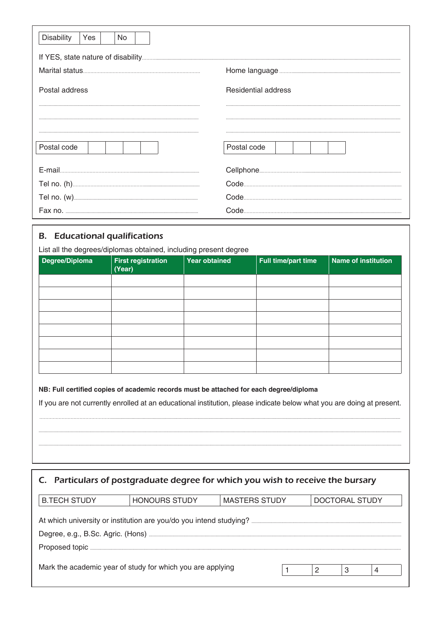| <b>Disability</b> | <b>Yes</b> | No. |  |  |  |  |                            |             |
|-------------------|------------|-----|--|--|--|--|----------------------------|-------------|
|                   |            |     |  |  |  |  |                            |             |
|                   |            |     |  |  |  |  |                            |             |
| Postal address    |            |     |  |  |  |  | <b>Residential address</b> |             |
|                   |            |     |  |  |  |  |                            |             |
|                   |            |     |  |  |  |  |                            |             |
| Postal code       |            |     |  |  |  |  |                            | Postal code |
|                   |            |     |  |  |  |  |                            |             |
|                   |            |     |  |  |  |  |                            |             |
|                   |            |     |  |  |  |  |                            |             |
|                   |            |     |  |  |  |  |                            |             |

## **B.** Educational qualifications

List all the degrees/diplomas obtained, including present degree

| Degree/Diploma | <b>First registration</b><br>(Year) | $\sim$<br><b>Year obtained</b> | Full time/part time | <b>Name of institution</b> |  |  |  |  |
|----------------|-------------------------------------|--------------------------------|---------------------|----------------------------|--|--|--|--|
|                |                                     |                                |                     |                            |  |  |  |  |
|                |                                     |                                |                     |                            |  |  |  |  |
|                |                                     |                                |                     |                            |  |  |  |  |
|                |                                     |                                |                     |                            |  |  |  |  |
|                |                                     |                                |                     |                            |  |  |  |  |
|                |                                     |                                |                     |                            |  |  |  |  |
|                |                                     |                                |                     |                            |  |  |  |  |
|                |                                     |                                |                     |                            |  |  |  |  |

NB: Full certified copies of academic records must be attached for each degree/diploma

If you are not currently enrolled at an educational institution, please indicate below what you are doing at present.

|  |  |  |  |  | C. Particulars of postgraduate degree for which you wish to receive the bursary |
|--|--|--|--|--|---------------------------------------------------------------------------------|
|--|--|--|--|--|---------------------------------------------------------------------------------|

| <b>B.TECH STUDY</b>                                        | <b>HONOURS STUDY</b> | <b>MASTERS STUDY</b> | DOCTORAL STUDY |   |   |  |  |  |  |  |  |  |  |
|------------------------------------------------------------|----------------------|----------------------|----------------|---|---|--|--|--|--|--|--|--|--|
|                                                            |                      |                      |                |   |   |  |  |  |  |  |  |  |  |
|                                                            |                      |                      |                |   |   |  |  |  |  |  |  |  |  |
|                                                            |                      |                      |                |   |   |  |  |  |  |  |  |  |  |
|                                                            |                      |                      |                |   |   |  |  |  |  |  |  |  |  |
|                                                            |                      |                      |                |   |   |  |  |  |  |  |  |  |  |
| Mark the academic year of study for which you are applying |                      |                      |                | 2 | 3 |  |  |  |  |  |  |  |  |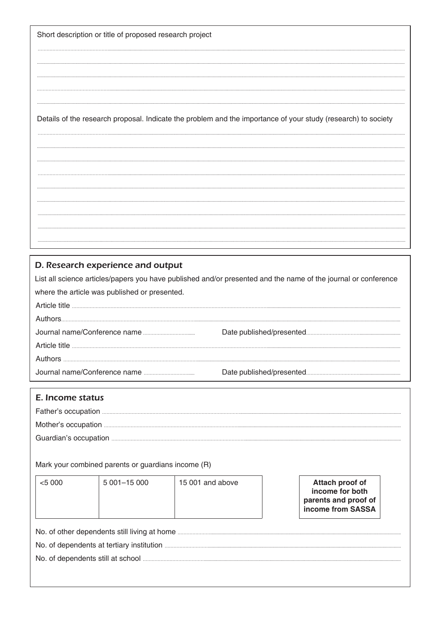Short description or title of proposed research project

Details of the research proposal. Indicate the problem and the importance of your study (research) to society

## D. Research experience and output

List all science articles/papers you have published and/or presented and the name of the journal or conference where the article was published or presented. 

Mark your combined parents or guardians income (R)

| $<$ 5 000                                    | 5 001-15 000 | 15 001 and above |  | Attach proof of<br>income for both<br>parents and proof of<br>income from SASSA |  |  |  |  |  |  |
|----------------------------------------------|--------------|------------------|--|---------------------------------------------------------------------------------|--|--|--|--|--|--|
| No, of other dependents still living at home |              |                  |  |                                                                                 |  |  |  |  |  |  |

IS S ıg aepe